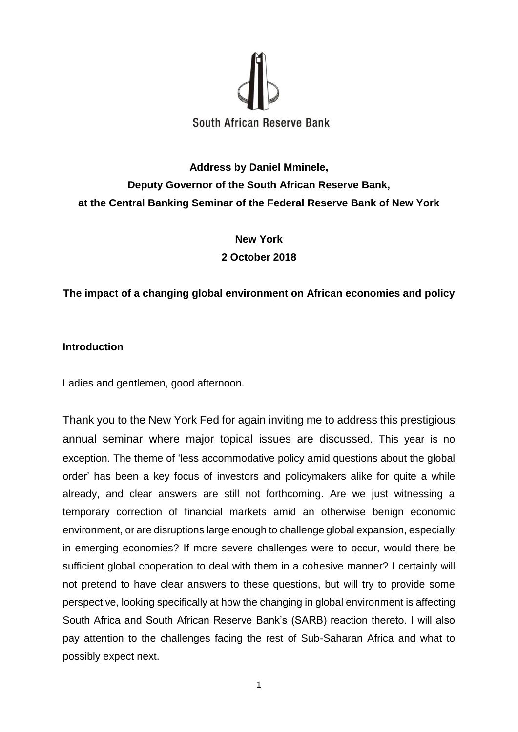

# **Address by Daniel Mminele, Deputy Governor of the South African Reserve Bank, at the Central Banking Seminar of the Federal Reserve Bank of New York**

**New York 2 October 2018**

# **The impact of a changing global environment on African economies and policy**

## **Introduction**

Ladies and gentlemen, good afternoon.

Thank you to the New York Fed for again inviting me to address this prestigious annual seminar where major topical issues are discussed. This year is no exception. The theme of 'less accommodative policy amid questions about the global order' has been a key focus of investors and policymakers alike for quite a while already, and clear answers are still not forthcoming. Are we just witnessing a temporary correction of financial markets amid an otherwise benign economic environment, or are disruptions large enough to challenge global expansion, especially in emerging economies? If more severe challenges were to occur, would there be sufficient global cooperation to deal with them in a cohesive manner? I certainly will not pretend to have clear answers to these questions, but will try to provide some perspective, looking specifically at how the changing in global environment is affecting South Africa and South African Reserve Bank's (SARB) reaction thereto. I will also pay attention to the challenges facing the rest of Sub-Saharan Africa and what to possibly expect next.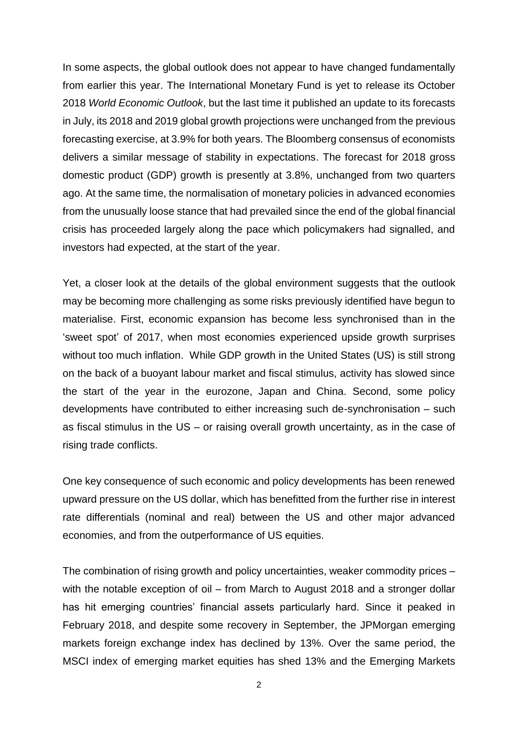In some aspects, the global outlook does not appear to have changed fundamentally from earlier this year. The International Monetary Fund is yet to release its October 2018 *World Economic Outlook*, but the last time it published an update to its forecasts in July, its 2018 and 2019 global growth projections were unchanged from the previous forecasting exercise, at 3.9% for both years. The Bloomberg consensus of economists delivers a similar message of stability in expectations. The forecast for 2018 gross domestic product (GDP) growth is presently at 3.8%, unchanged from two quarters ago. At the same time, the normalisation of monetary policies in advanced economies from the unusually loose stance that had prevailed since the end of the global financial crisis has proceeded largely along the pace which policymakers had signalled, and investors had expected, at the start of the year.

Yet, a closer look at the details of the global environment suggests that the outlook may be becoming more challenging as some risks previously identified have begun to materialise. First, economic expansion has become less synchronised than in the 'sweet spot' of 2017, when most economies experienced upside growth surprises without too much inflation. While GDP growth in the United States (US) is still strong on the back of a buoyant labour market and fiscal stimulus, activity has slowed since the start of the year in the eurozone, Japan and China. Second, some policy developments have contributed to either increasing such de-synchronisation – such as fiscal stimulus in the US – or raising overall growth uncertainty, as in the case of rising trade conflicts.

One key consequence of such economic and policy developments has been renewed upward pressure on the US dollar, which has benefitted from the further rise in interest rate differentials (nominal and real) between the US and other major advanced economies, and from the outperformance of US equities.

The combination of rising growth and policy uncertainties, weaker commodity prices – with the notable exception of oil – from March to August 2018 and a stronger dollar has hit emerging countries' financial assets particularly hard. Since it peaked in February 2018, and despite some recovery in September, the JPMorgan emerging markets foreign exchange index has declined by 13%. Over the same period, the MSCI index of emerging market equities has shed 13% and the Emerging Markets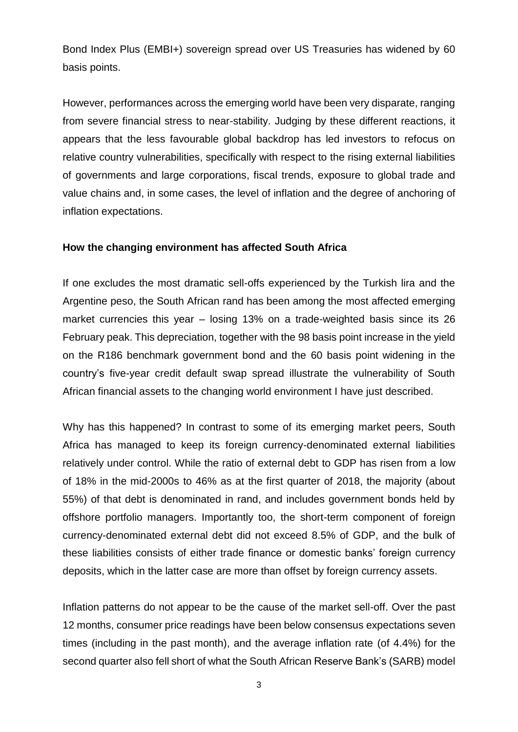Bond Index Plus (EMBI+) sovereign spread over US Treasuries has widened by 60 basis points.

However, performances across the emerging world have been very disparate, ranging from severe financial stress to near-stability. Judging by these different reactions, it appears that the less favourable global backdrop has led investors to refocus on relative country vulnerabilities, specifically with respect to the rising external liabilities of governments and large corporations, fiscal trends, exposure to global trade and value chains and, in some cases, the level of inflation and the degree of anchoring of inflation expectations.

## **How the changing environment has affected South Africa**

If one excludes the most dramatic sell-offs experienced by the Turkish lira and the Argentine peso, the South African rand has been among the most affected emerging market currencies this year – losing 13% on a trade-weighted basis since its 26 February peak. This depreciation, together with the 98 basis point increase in the yield on the R186 benchmark government bond and the 60 basis point widening in the country's five-year credit default swap spread illustrate the vulnerability of South African financial assets to the changing world environment I have just described.

Why has this happened? In contrast to some of its emerging market peers, South Africa has managed to keep its foreign currency-denominated external liabilities relatively under control. While the ratio of external debt to GDP has risen from a low of 18% in the mid-2000s to 46% as at the first quarter of 2018, the majority (about 55%) of that debt is denominated in rand, and includes government bonds held by offshore portfolio managers. Importantly too, the short-term component of foreign currency-denominated external debt did not exceed 8.5% of GDP, and the bulk of these liabilities consists of either trade finance or domestic banks' foreign currency deposits, which in the latter case are more than offset by foreign currency assets.

Inflation patterns do not appear to be the cause of the market sell-off. Over the past 12 months, consumer price readings have been below consensus expectations seven times (including in the past month), and the average inflation rate (of 4.4%) for the second quarter also fell short of what the South African Reserve Bank's (SARB) model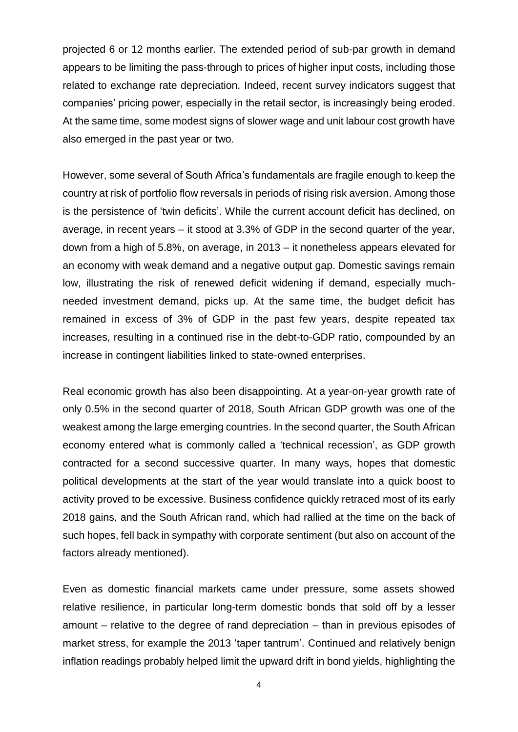projected 6 or 12 months earlier. The extended period of sub-par growth in demand appears to be limiting the pass-through to prices of higher input costs, including those related to exchange rate depreciation. Indeed, recent survey indicators suggest that companies' pricing power, especially in the retail sector, is increasingly being eroded. At the same time, some modest signs of slower wage and unit labour cost growth have also emerged in the past year or two.

However, some several of South Africa's fundamentals are fragile enough to keep the country at risk of portfolio flow reversals in periods of rising risk aversion. Among those is the persistence of 'twin deficits'. While the current account deficit has declined, on average, in recent years – it stood at 3.3% of GDP in the second quarter of the year, down from a high of 5.8%, on average, in 2013 – it nonetheless appears elevated for an economy with weak demand and a negative output gap. Domestic savings remain low, illustrating the risk of renewed deficit widening if demand, especially muchneeded investment demand, picks up. At the same time, the budget deficit has remained in excess of 3% of GDP in the past few years, despite repeated tax increases, resulting in a continued rise in the debt-to-GDP ratio, compounded by an increase in contingent liabilities linked to state-owned enterprises.

Real economic growth has also been disappointing. At a year-on-year growth rate of only 0.5% in the second quarter of 2018, South African GDP growth was one of the weakest among the large emerging countries. In the second quarter, the South African economy entered what is commonly called a 'technical recession', as GDP growth contracted for a second successive quarter. In many ways, hopes that domestic political developments at the start of the year would translate into a quick boost to activity proved to be excessive. Business confidence quickly retraced most of its early 2018 gains, and the South African rand, which had rallied at the time on the back of such hopes, fell back in sympathy with corporate sentiment (but also on account of the factors already mentioned).

Even as domestic financial markets came under pressure, some assets showed relative resilience, in particular long-term domestic bonds that sold off by a lesser amount – relative to the degree of rand depreciation – than in previous episodes of market stress, for example the 2013 'taper tantrum'. Continued and relatively benign inflation readings probably helped limit the upward drift in bond yields, highlighting the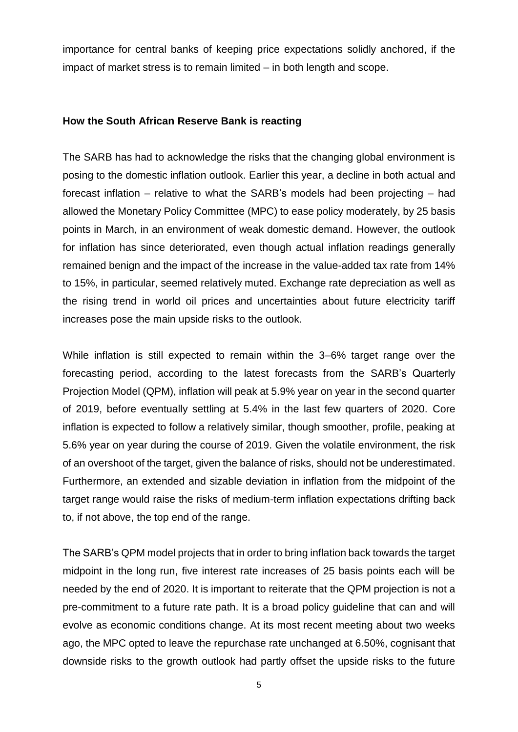importance for central banks of keeping price expectations solidly anchored, if the impact of market stress is to remain limited – in both length and scope.

## **How the South African Reserve Bank is reacting**

The SARB has had to acknowledge the risks that the changing global environment is posing to the domestic inflation outlook. Earlier this year, a decline in both actual and forecast inflation – relative to what the SARB's models had been projecting – had allowed the Monetary Policy Committee (MPC) to ease policy moderately, by 25 basis points in March, in an environment of weak domestic demand. However, the outlook for inflation has since deteriorated, even though actual inflation readings generally remained benign and the impact of the increase in the value-added tax rate from 14% to 15%, in particular, seemed relatively muted. Exchange rate depreciation as well as the rising trend in world oil prices and uncertainties about future electricity tariff increases pose the main upside risks to the outlook.

While inflation is still expected to remain within the 3–6% target range over the forecasting period, according to the latest forecasts from the SARB's Quarterly Projection Model (QPM), inflation will peak at 5.9% year on year in the second quarter of 2019, before eventually settling at 5.4% in the last few quarters of 2020. Core inflation is expected to follow a relatively similar, though smoother, profile, peaking at 5.6% year on year during the course of 2019. Given the volatile environment, the risk of an overshoot of the target, given the balance of risks, should not be underestimated. Furthermore, an extended and sizable deviation in inflation from the midpoint of the target range would raise the risks of medium-term inflation expectations drifting back to, if not above, the top end of the range.

The SARB's QPM model projects that in order to bring inflation back towards the target midpoint in the long run, five interest rate increases of 25 basis points each will be needed by the end of 2020. It is important to reiterate that the QPM projection is not a pre-commitment to a future rate path. It is a broad policy guideline that can and will evolve as economic conditions change. At its most recent meeting about two weeks ago, the MPC opted to leave the repurchase rate unchanged at 6.50%, cognisant that downside risks to the growth outlook had partly offset the upside risks to the future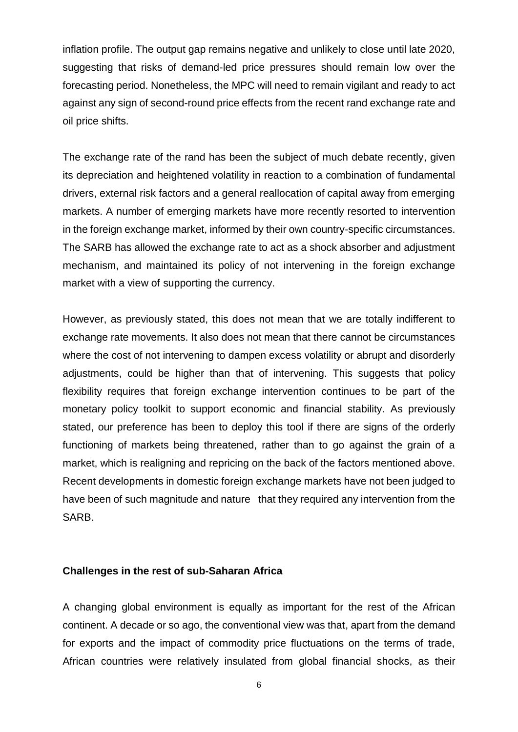inflation profile. The output gap remains negative and unlikely to close until late 2020, suggesting that risks of demand-led price pressures should remain low over the forecasting period. Nonetheless, the MPC will need to remain vigilant and ready to act against any sign of second-round price effects from the recent rand exchange rate and oil price shifts.

The exchange rate of the rand has been the subject of much debate recently, given its depreciation and heightened volatility in reaction to a combination of fundamental drivers, external risk factors and a general reallocation of capital away from emerging markets. A number of emerging markets have more recently resorted to intervention in the foreign exchange market, informed by their own country-specific circumstances. The SARB has allowed the exchange rate to act as a shock absorber and adjustment mechanism, and maintained its policy of not intervening in the foreign exchange market with a view of supporting the currency.

However, as previously stated, this does not mean that we are totally indifferent to exchange rate movements. It also does not mean that there cannot be circumstances where the cost of not intervening to dampen excess volatility or abrupt and disorderly adjustments, could be higher than that of intervening. This suggests that policy flexibility requires that foreign exchange intervention continues to be part of the monetary policy toolkit to support economic and financial stability. As previously stated, our preference has been to deploy this tool if there are signs of the orderly functioning of markets being threatened, rather than to go against the grain of a market, which is realigning and repricing on the back of the factors mentioned above. Recent developments in domestic foreign exchange markets have not been judged to have been of such magnitude and nature that they required any intervention from the SARB.

#### **Challenges in the rest of sub-Saharan Africa**

A changing global environment is equally as important for the rest of the African continent. A decade or so ago, the conventional view was that, apart from the demand for exports and the impact of commodity price fluctuations on the terms of trade, African countries were relatively insulated from global financial shocks, as their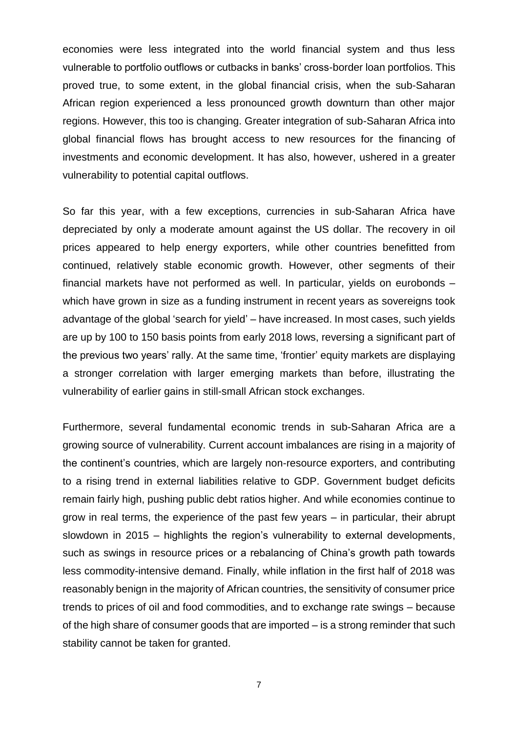economies were less integrated into the world financial system and thus less vulnerable to portfolio outflows or cutbacks in banks' cross-border loan portfolios. This proved true, to some extent, in the global financial crisis, when the sub-Saharan African region experienced a less pronounced growth downturn than other major regions. However, this too is changing. Greater integration of sub-Saharan Africa into global financial flows has brought access to new resources for the financing of investments and economic development. It has also, however, ushered in a greater vulnerability to potential capital outflows.

So far this year, with a few exceptions, currencies in sub-Saharan Africa have depreciated by only a moderate amount against the US dollar. The recovery in oil prices appeared to help energy exporters, while other countries benefitted from continued, relatively stable economic growth. However, other segments of their financial markets have not performed as well. In particular, yields on eurobonds – which have grown in size as a funding instrument in recent years as sovereigns took advantage of the global 'search for yield' – have increased. In most cases, such yields are up by 100 to 150 basis points from early 2018 lows, reversing a significant part of the previous two years' rally. At the same time, 'frontier' equity markets are displaying a stronger correlation with larger emerging markets than before, illustrating the vulnerability of earlier gains in still-small African stock exchanges.

Furthermore, several fundamental economic trends in sub-Saharan Africa are a growing source of vulnerability. Current account imbalances are rising in a majority of the continent's countries, which are largely non-resource exporters, and contributing to a rising trend in external liabilities relative to GDP. Government budget deficits remain fairly high, pushing public debt ratios higher. And while economies continue to grow in real terms, the experience of the past few years – in particular, their abrupt slowdown in 2015 – highlights the region's vulnerability to external developments, such as swings in resource prices or a rebalancing of China's growth path towards less commodity-intensive demand. Finally, while inflation in the first half of 2018 was reasonably benign in the majority of African countries, the sensitivity of consumer price trends to prices of oil and food commodities, and to exchange rate swings – because of the high share of consumer goods that are imported – is a strong reminder that such stability cannot be taken for granted.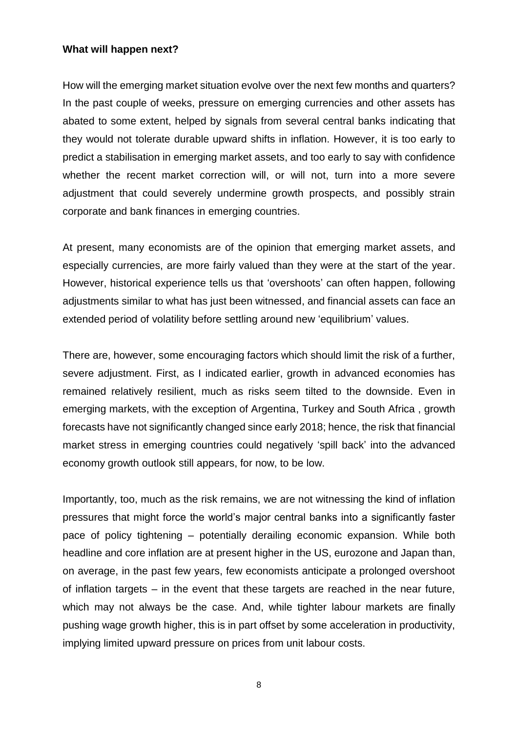#### **What will happen next?**

How will the emerging market situation evolve over the next few months and quarters? In the past couple of weeks, pressure on emerging currencies and other assets has abated to some extent, helped by signals from several central banks indicating that they would not tolerate durable upward shifts in inflation. However, it is too early to predict a stabilisation in emerging market assets, and too early to say with confidence whether the recent market correction will, or will not, turn into a more severe adjustment that could severely undermine growth prospects, and possibly strain corporate and bank finances in emerging countries.

At present, many economists are of the opinion that emerging market assets, and especially currencies, are more fairly valued than they were at the start of the year. However, historical experience tells us that 'overshoots' can often happen, following adjustments similar to what has just been witnessed, and financial assets can face an extended period of volatility before settling around new 'equilibrium' values.

There are, however, some encouraging factors which should limit the risk of a further, severe adjustment. First, as I indicated earlier, growth in advanced economies has remained relatively resilient, much as risks seem tilted to the downside. Even in emerging markets, with the exception of Argentina, Turkey and South Africa , growth forecasts have not significantly changed since early 2018; hence, the risk that financial market stress in emerging countries could negatively 'spill back' into the advanced economy growth outlook still appears, for now, to be low.

Importantly, too, much as the risk remains, we are not witnessing the kind of inflation pressures that might force the world's major central banks into a significantly faster pace of policy tightening – potentially derailing economic expansion. While both headline and core inflation are at present higher in the US, eurozone and Japan than, on average, in the past few years, few economists anticipate a prolonged overshoot of inflation targets – in the event that these targets are reached in the near future, which may not always be the case. And, while tighter labour markets are finally pushing wage growth higher, this is in part offset by some acceleration in productivity, implying limited upward pressure on prices from unit labour costs.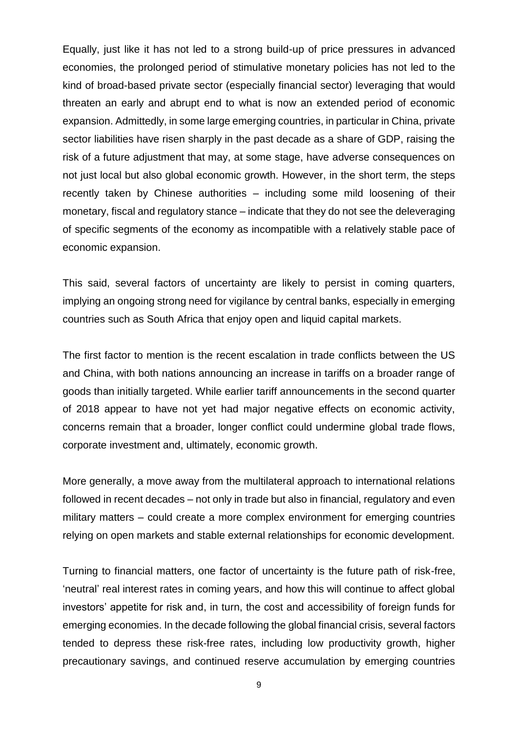Equally, just like it has not led to a strong build-up of price pressures in advanced economies, the prolonged period of stimulative monetary policies has not led to the kind of broad-based private sector (especially financial sector) leveraging that would threaten an early and abrupt end to what is now an extended period of economic expansion. Admittedly, in some large emerging countries, in particular in China, private sector liabilities have risen sharply in the past decade as a share of GDP, raising the risk of a future adjustment that may, at some stage, have adverse consequences on not just local but also global economic growth. However, in the short term, the steps recently taken by Chinese authorities – including some mild loosening of their monetary, fiscal and regulatory stance – indicate that they do not see the deleveraging of specific segments of the economy as incompatible with a relatively stable pace of economic expansion.

This said, several factors of uncertainty are likely to persist in coming quarters, implying an ongoing strong need for vigilance by central banks, especially in emerging countries such as South Africa that enjoy open and liquid capital markets.

The first factor to mention is the recent escalation in trade conflicts between the US and China, with both nations announcing an increase in tariffs on a broader range of goods than initially targeted. While earlier tariff announcements in the second quarter of 2018 appear to have not yet had major negative effects on economic activity, concerns remain that a broader, longer conflict could undermine global trade flows, corporate investment and, ultimately, economic growth.

More generally, a move away from the multilateral approach to international relations followed in recent decades – not only in trade but also in financial, regulatory and even military matters – could create a more complex environment for emerging countries relying on open markets and stable external relationships for economic development.

Turning to financial matters, one factor of uncertainty is the future path of risk-free, 'neutral' real interest rates in coming years, and how this will continue to affect global investors' appetite for risk and, in turn, the cost and accessibility of foreign funds for emerging economies. In the decade following the global financial crisis, several factors tended to depress these risk-free rates, including low productivity growth, higher precautionary savings, and continued reserve accumulation by emerging countries